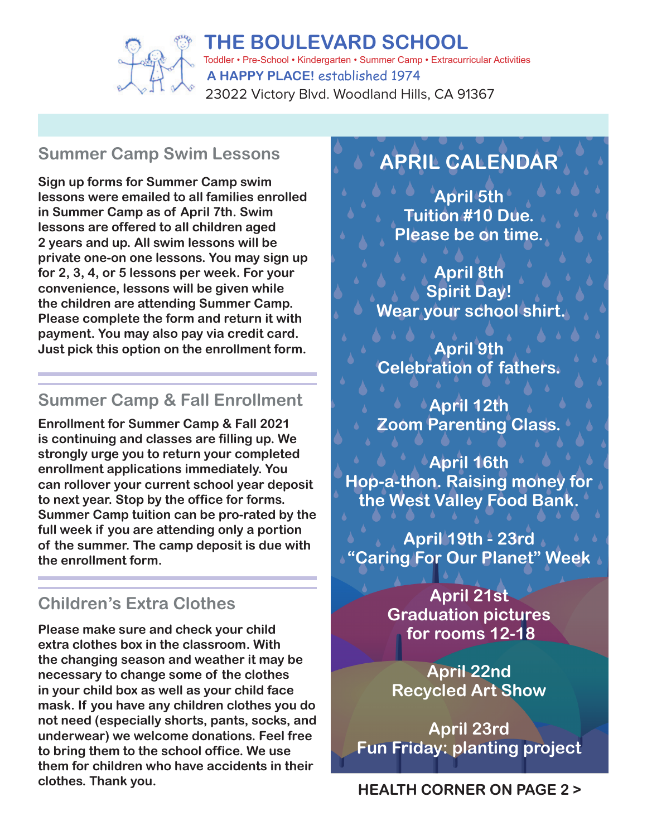

### **Summer Camp Swim Lessons**

**Sign up forms for Summer Camp swim lessons were emailed to all families enrolled in Summer Camp as of April 7th. Swim lessons are offered to all children aged 2 years and up. All swim lessons will be private one-on one lessons. You may sign up for 2, 3, 4, or 5 lessons per week. For your convenience, lessons will be given while the children are attending Summer Camp. Please complete the form and return it with payment. You may also pay via credit card. Just pick this option on the enrollment form.**

### **Summer Camp & Fall Enrollment**

**Enrollment for Summer Camp & Fall 2021 is continuing and classes are filling up. We strongly urge you to return your completed enrollment applications immediately. You can rollover your current school year deposit to next year. Stop by the office for forms. Summer Camp tuition can be pro-rated by the full week if you are attending only a portion of the summer. The camp deposit is due with the enrollment form.**

## **Children's Extra Clothes**

**Please make sure and check your child extra clothes box in the classroom. With the changing season and weather it may be necessary to change some of the clothes in your child box as well as your child face mask. If you have any children clothes you do not need (especially shorts, pants, socks, and underwear) we welcome donations. Feel free to bring them to the school office. We use them for children who have accidents in their clothes. Thank you. HEALTH CORNER ON PAGE 2 >**

# **APRIL CALENDAR**

**April 5th Tuition #10 Due. Please be on time.**

**April 8th Spirit Day! Wear your school shirt.**

**April 9th Celebration of fathers.**

**April 12th Zoom Parenting Class.**

**April 16th Hop-a-thon. Raising money for the West Valley Food Bank.**

**April 19th - 23rd "Caring For Our Planet" Week**

> **April 21st Graduation pictures for rooms 12-18**

**April 22nd Recycled Art Show**

**April 23rd Fun Friday: planting project**